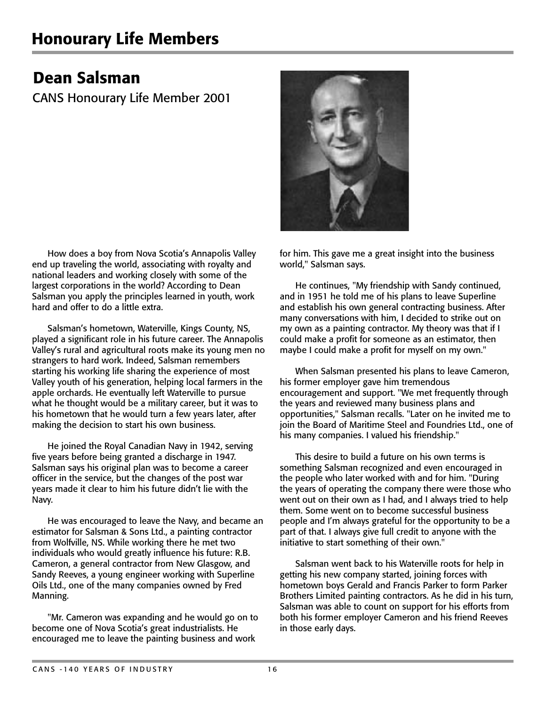## Dean Salsman

CANS Honourary Life Member 2001

How does a boy from Nova Scotia's Annapolis Valley end up traveling the world, associating with royalty and national leaders and working closely with some of the largest corporations in the world? According to Dean Salsman you apply the principles learned in youth, work hard and offer to do a little extra.

Salsman's hometown, Waterville, Kings County, NS, played a significant role in his future career. The Annapolis Valley's rural and agricultural roots make its young men no strangers to hard work. Indeed, Salsman remembers starting his working life sharing the experience of most Valley youth of his generation, helping local farmers in the apple orchards. He eventually left Waterville to pursue what he thought would be a military career, but it was to his hometown that he would turn a few years later, after making the decision to start his own business.

He joined the Royal Canadian Navy in 1942, serving five years before being granted a discharge in 1947. Salsman says his original plan was to become a career officer in the service, but the changes of the post war years made it clear to him his future didn't lie with the Navy.

He was encouraged to leave the Navy, and became an estimator for Salsman & Sons Ltd., a painting contractor from Wolfville, NS. While working there he met two individuals who would greatly influence his future: R.B. Cameron, a general contractor from New Glasgow, and Sandy Reeves, a young engineer working with Superline Oils Ltd., one of the many companies owned by Fred Manning.

"Mr. Cameron was expanding and he would go on to become one of Nova Scotia's great industrialists. He encouraged me to leave the painting business and work

for him. This gave me a great insight into the business world," Salsman says.

He continues, "My friendship with Sandy continued, and in 1951 he told me of his plans to leave Superline and establish his own general contracting business. After many conversations with him, I decided to strike out on my own as a painting contractor. My theory was that if I could make a profit for someone as an estimator, then maybe I could make a profit for myself on my own."

When Salsman presented his plans to leave Cameron, his former employer gave him tremendous encouragement and support. "We met frequently through the years and reviewed many business plans and opportunities," Salsman recalls. "Later on he invited me to join the Board of Maritime Steel and Foundries Ltd., one of his many companies. I valued his friendship."

This desire to build a future on his own terms is something Salsman recognized and even encouraged in the people who later worked with and for him. "During the years of operating the company there were those who went out on their own as I had, and I always tried to help them. Some went on to become successful business people and I'm always grateful for the opportunity to be a part of that. I always give full credit to anyone with the initiative to start something of their own."

Salsman went back to his Waterville roots for help in getting his new company started, joining forces with hometown boys Gerald and Francis Parker to form Parker Brothers Limited painting contractors. As he did in his turn, Salsman was able to count on support for his efforts from both his former employer Cameron and his friend Reeves in those early days.